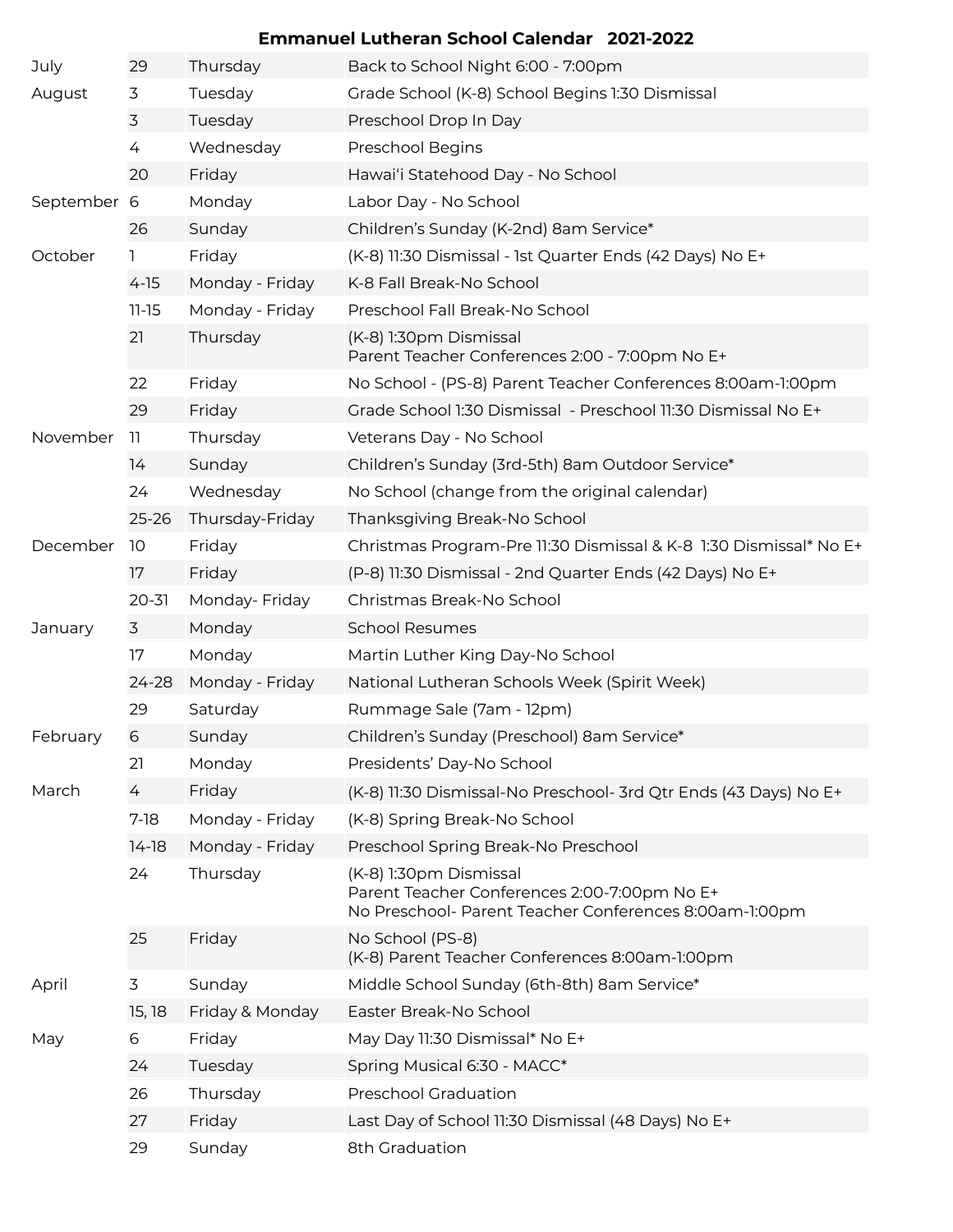## **Emmanuel Lutheran School Calendar 2021-2022**

| July        | 29        | Thursday        | Back to School Night 6:00 - 7:00pm                                                                                               |
|-------------|-----------|-----------------|----------------------------------------------------------------------------------------------------------------------------------|
| August      | 3         | Tuesday         | Grade School (K-8) School Begins 1:30 Dismissal                                                                                  |
|             | 3         | Tuesday         | Preschool Drop In Day                                                                                                            |
|             | 4         | Wednesday       | Preschool Begins                                                                                                                 |
|             | 20        | Friday          | Hawai'i Statehood Day - No School                                                                                                |
| September 6 |           | Monday          | Labor Day - No School                                                                                                            |
|             | 26        | Sunday          | Children's Sunday (K-2nd) 8am Service*                                                                                           |
| October     | 1         | Friday          | (K-8) 11:30 Dismissal - 1st Quarter Ends (42 Days) No E+                                                                         |
|             | $4-15$    | Monday - Friday | K-8 Fall Break-No School                                                                                                         |
|             | $11 - 15$ | Monday - Friday | Preschool Fall Break-No School                                                                                                   |
|             | 21        | Thursday        | (K-8) 1:30pm Dismissal<br>Parent Teacher Conferences 2:00 - 7:00pm No E+                                                         |
|             | 22        | Friday          | No School - (PS-8) Parent Teacher Conferences 8:00am-1:00pm                                                                      |
|             | 29        | Friday          | Grade School 1:30 Dismissal - Preschool 11:30 Dismissal No E+                                                                    |
| November    | 11.       | Thursday        | Veterans Day - No School                                                                                                         |
|             | 14        | Sunday          | Children's Sunday (3rd-5th) 8am Outdoor Service*                                                                                 |
|             | 24        | Wednesday       | No School (change from the original calendar)                                                                                    |
|             | $25 - 26$ | Thursday-Friday | Thanksgiving Break-No School                                                                                                     |
| December    | 10        | Friday          | Christmas Program-Pre 11:30 Dismissal & K-8 1:30 Dismissal* No E+                                                                |
|             | 17        | Friday          | (P-8) 11:30 Dismissal - 2nd Quarter Ends (42 Days) No E+                                                                         |
|             | $20 - 31$ | Monday- Friday  | Christmas Break-No School                                                                                                        |
| January     | 3         | Monday          | <b>School Resumes</b>                                                                                                            |
|             | 17        | Monday          | Martin Luther King Day-No School                                                                                                 |
|             | $24 - 28$ | Monday - Friday | National Lutheran Schools Week (Spirit Week)                                                                                     |
|             | 29        | Saturday        | Rummage Sale (7am - 12pm)                                                                                                        |
| February    | 6         | Sunday          | Children's Sunday (Preschool) 8am Service*                                                                                       |
|             | 21        | Monday          | Presidents' Day-No School                                                                                                        |
| March       | 4         | Friday          | (K-8) 11:30 Dismissal-No Preschool- 3rd Qtr Ends (43 Days) No E+                                                                 |
|             | $7-18$    | Monday - Friday | (K-8) Spring Break-No School                                                                                                     |
|             | $14-18$   | Monday - Friday | Preschool Spring Break-No Preschool                                                                                              |
|             | 24        | Thursday        | (K-8) 1:30pm Dismissal<br>Parent Teacher Conferences 2:00-7:00pm No E+<br>No Preschool- Parent Teacher Conferences 8:00am-1:00pm |
|             | 25        | Friday          | No School (PS-8)<br>(K-8) Parent Teacher Conferences 8:00am-1:00pm                                                               |
| April       | 3         | Sunday          | Middle School Sunday (6th-8th) 8am Service*                                                                                      |
|             | 15, 18    | Friday & Monday | Easter Break-No School                                                                                                           |
| May         | 6         | Friday          | May Day 11:30 Dismissal* No E+                                                                                                   |
|             | 24        | Tuesday         | Spring Musical 6:30 - MACC*                                                                                                      |
|             | 26        | Thursday        | <b>Preschool Graduation</b>                                                                                                      |
|             | 27        | Friday          | Last Day of School 11:30 Dismissal (48 Days) No E+                                                                               |
|             | 29        | Sunday          | 8th Graduation                                                                                                                   |